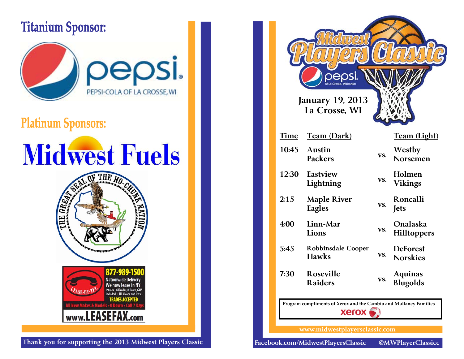#### **Titanium Sponsor:**



#### **Platinum Sponsors:**

# **Midwest Fuels**



| Thank you for supporting the 2013 Midwest Players Classic |  |  |
|-----------------------------------------------------------|--|--|

|                                                                                   | <b>January 19, 2013</b><br>La Crosse, WI  |     |                                       |
|-----------------------------------------------------------------------------------|-------------------------------------------|-----|---------------------------------------|
| Time                                                                              | <u>Team (Dark)</u>                        |     | Team (Light)                          |
| 10:45                                                                             | <b>Austin</b><br><b>Packers</b>           | VS. | Westby<br>Norsemen                    |
| 12:30                                                                             | Eastview<br>Lightning                     | VS. | Holmen<br><b>Vikings</b>              |
| 2:15                                                                              | <b>Maple River</b><br>Eagles              | VS. | Roncalli<br><b>Jets</b>               |
| 4:00                                                                              | Linn-Mar<br>Lions                         | VS. | <b>Onalaska</b><br><b>Hilltoppers</b> |
| 5:45                                                                              | <b>Robbinsdale Cooper</b><br><b>Hawks</b> | VS. | <b>DeForest</b><br><b>Norskies</b>    |
| 7:30                                                                              | Roseville<br><b>Raiders</b>               | VS. | <b>Aquinas</b><br><b>Blugolds</b>     |
| Program compliments of Xerox and the Cambio and Mullaney Families<br><b>Xerox</b> |                                           |     |                                       |
|                                                                                   | www.midwestplayersclassic.com             |     |                                       |

@MWPlayerClassicc

Facebook.com/MidwestPlayersClassic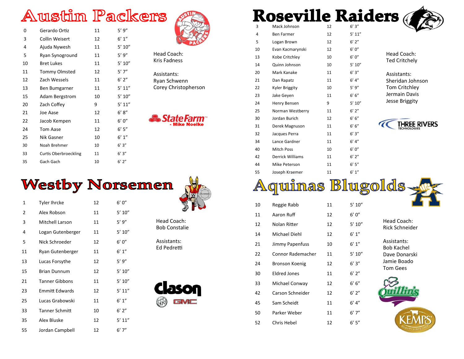## **Austin Packers**

| 0  | Gerardo Ortiz         | 11 | 5'9''           |
|----|-----------------------|----|-----------------|
| 3  | Collin Weisert        | 12 | $6^{\prime}$ 1" |
| 4  | Ajuda Nywesh          | 11 | 5' 10''         |
| 5  | Ryan Synoground       | 11 | 5'9''           |
| 10 | <b>Bret Lukes</b>     | 11 | 5' 10''         |
| 11 | <b>Tommy Olmsted</b>  | 12 | $5'$ 7"         |
| 12 | Zach Wessels          | 11 | 6'2''           |
| 13 | Ben Bumgarner         | 11 | 5' 11''         |
| 15 | <b>Adam Bergstrom</b> | 10 | 5' 10''         |
| 20 | Zach Coffey           | 9  | 5' 11''         |
| 21 | Joe Aase              | 12 | 6' 8''          |
| 22 | Jacob Kempen          | 11 | 6'0''           |
| 24 | Tom Aase              | 12 | 6'5''           |
| 25 | Nik Gasner            | 10 | 6' 1''          |
| 30 | Noah Brehmer          | 10 | 6'3''           |
| 33 | Curtis Oberbroeckling | 11 | 6'3''           |
| 35 | Gach Gach             | 10 | $6'$ $2''$      |



Head Coach: Kris Fadness

Assistants: Ryan Schwenn Corey Christopherson

**tateFarm**<br>Mike Noelke

## **Westby Norsemen**

| 1  | <b>Tyler Ihrcke</b>   | 12 | 6'0''   |
|----|-----------------------|----|---------|
| 2  | Alex Robson           | 11 | 5' 10'' |
| 3  | Mitchell Larson       | 11 | 5'9''   |
| 4  | Logan Gutenberger     | 11 | 5' 10'' |
| 5  | Nick Schroeder        | 12 | 6'0''   |
| 11 | Ryan Gutenberger      | 11 | 6' 1''  |
| 13 | Lucas Forsythe        | 12 | 5'9''   |
| 15 | <b>Brian Dunnum</b>   | 12 | 5' 10'' |
| 21 | <b>Tanner Gibbons</b> | 11 | 5' 10'' |
| 23 | <b>Emmitt Edwards</b> | 12 | 5' 11'' |
| 25 | Lucas Grabowski       | 11 | 6' 1''  |
| 33 | <b>Tanner Schmitt</b> | 10 | 6'2''   |
| 35 | Alex Bluske           | 12 | 5' 11'' |
| 55 | Jordan Campbell       | 12 | 6'7''   |



Head Coach: Bob Constalie

Assistants: Ed Pedretti



|                | ue<br>sevil             |    |         |
|----------------|-------------------------|----|---------|
| 3              | Mack Johnson            | 12 | 6'3''   |
| $\overline{4}$ | <b>Ben Farmer</b>       | 12 | 5' 11'' |
| 5              | Logan Brown             | 12 | 6'2''   |
| 10             | Evan Kacmarynski        | 12 | 6'0''   |
| 13             | Kobe Critchley          | 10 | 6'0''   |
| 14             | Quinn Johnson           | 10 | 5' 10'' |
| 20             | Mark Kanake             | 11 | 6'3''   |
| 21             | Dan Rapatz              | 11 | 6' 4''  |
| 22             | <b>Kyler Briggity</b>   | 10 | 5'9''   |
| 23             | Jake Geyen              | 11 | 6' 6''  |
| 24             | Henry Bensen            | 9  | 5' 10'' |
| 25             | Norman Westberry        | 11 | 6'2''   |
| 30             | Jordan Burich           | 12 | 6' 6''  |
| 31             | Derek Magnuson          | 11 | 6' 6''  |
| 32             | Jacques Perra           | 11 | 6'3''   |
| 34             | Lance Gardner           | 11 | 6' 4''  |
| 40             | <b>Mitch Poss</b>       | 10 | 6'0''   |
| 42             | <b>Derrick Williams</b> | 11 | 6'2''   |
| 44             | Mike Peterson           | 11 | 6' 5''  |
| 55             | Joseph Kraemer          | 11 | 6' 1''  |
|                |                         |    |         |

ders

Head Coach: Ted Critchely

Assistants: Sheridan Johnson Tom Critchley Jermain Davis Jesse Briggity



**Aquinas Blugolds** 

| 10 | Reggie Rabb       | 11 | 5' 10'' |
|----|-------------------|----|---------|
| 11 | Aaron Ruff        | 12 | 6'0''   |
| 12 | Nolan Ritter      | 12 | 5' 10'' |
| 14 | Michael Diehl     | 12 | 6' 1''  |
| 21 | Jimmy Papenfuss   | 10 | 6' 1''  |
| 22 | Connor Rademacher | 11 | 5' 10'' |
| 24 | Bronson Koenig    | 12 | 6'3''   |
| 30 | Eldred Jones      | 11 | 6'2''   |
| 33 | Michael Conway    | 12 | 6' 6''  |
| 42 | Carson Schneider  | 12 | 6'2''   |
| 45 | Sam Scheidt       | 11 | 6' 4''  |
| 50 | Parker Weber      | 11 | 6'7''   |
| 52 | Chris Hebel       | 12 | 6'5''   |

Head Coach: Rick Schneider

Assistants: Bob Kachel Dave Donarski Jamie BoadoTom Gees

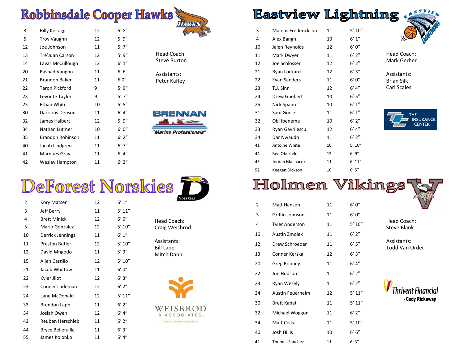### **Robbinsdale Cooper Hawks**

| 3  | <b>Billy Kellogg</b>    | 12 | 5' 8''  |
|----|-------------------------|----|---------|
| 5  | Troy Vaughn             | 12 | 5'9''   |
| 12 | Joe Johnson             | 11 | $5'$ 7" |
| 13 | Tre'Juan Carson         | 12 | 5'9''   |
| 14 | Lavar McCullough        | 12 | 6' 1''  |
| 20 | Rashad Vaughn           | 11 | 6' 6''  |
| 21 | <b>Brandon Baker</b>    | 11 | 6'0''   |
| 22 | <b>Taron Pickford</b>   | 9  | 5'9''   |
| 23 | Levonte Taylor          | 9  | 5'7''   |
| 25 | Ethan White             | 10 | 5' 5''  |
| 30 | Darrious Denson         | 11 | 6' 4''  |
| 32 | James Halbert           | 12 | 5'9''   |
| 34 | Nathan Lutmer           | 10 | 6'0''   |
| 35 | <b>Brandon Robinson</b> | 11 | 6'2''   |
| 40 | Jacob Lindgren          | 11 | 6'7''   |
| 41 | Marques Gray            | 11 | 6' 4''  |
| 42 | <b>Wesley Hampton</b>   | 11 | 6'2''   |



Head Coach: Steve Burton

Assistants: Peter Ka ffey



"Marine Professionals"

## DeForest Norskies

| 2  | Kory Matsen              | 12 | 6' 1''  |
|----|--------------------------|----|---------|
| 3  | Jeff Berry               | 11 | 5' 11'' |
| 4  | <b>Brett Minick</b>      | 12 | 6'0''   |
| 5  | Mario Gonzalez           | 12 | 5' 10'' |
| 10 | Derrick Jennings         | 11 | 6' 1''  |
| 11 | <b>Preston Butler</b>    | 12 | 5' 10'' |
| 12 | David Mngodo             | 11 | 5'9''   |
| 15 | Allen Castillo           | 12 | 5' 10'' |
| 21 | Jacob Whittow            | 11 | 6'0''   |
| 22 | Kyler Jilot              | 12 | 6'3''   |
| 23 | Conner Ludeman           | 12 | $6'$ 2" |
| 24 | Lane McDonald            | 12 | 5' 11'' |
| 33 | Brendon Lapp             | 11 | 6'2''   |
| 34 | Josiah Owen              | 12 | 6' 4''  |
| 42 | Reuben Herschleb         | 11 | $6'$ 2" |
| 44 | <b>Bryce Bellefuille</b> | 11 | 6'3''   |
| 55 | James Kolonko            | 11 | $6'$ 4" |



| Head Coach:    |
|----------------|
| Craig Weisbrod |

Assistants:Bill Lapp Mitch Dann





Certified Public Accountants

#### **Eastview Lightning**

| 3  | Marcus Frederickson | 11 | 5' 10''    |
|----|---------------------|----|------------|
| 4  | Alex Bangh          | 10 | 6' 1''     |
| 10 | Jalen Reynolds      | 12 | 6'0''      |
| 11 | Mark Dwyer          | 11 | $6'$ 2"    |
| 12 | Joe Schlosser       | 12 | $6'$ 2"    |
| 21 | Ryan Lockard        | 12 | 6'3''      |
| 22 | Evan Sanders        | 11 | 6'0''      |
| 23 | T.J. Sinn           | 12 | 6' 4''     |
| 24 | Drew Guebert        | 10 | 6'5''      |
| 25 | Nick Spann          | 10 | 6' 1''     |
| 31 | Sam Goetz           | 11 | 6' 1''     |
| 32 | Obi Ibeneme         | 10 | $6'$ $2''$ |
| 33 | Ryan Gavrilescu     | 12 | 6' 4''     |
| 34 | Dar Nwaudo          | 11 | $6'$ 2"    |
| 41 | Antoine White       | 10 | 5' 10''    |
| 44 | Ben Oberfeld        | 12 | 6'9''      |
| 45 | Jordan Machacek     | 11 | 6' 11''    |
| 52 | Keegan Dickson      | 10 | 6' 5''     |
|    |                     |    |            |



Head Coach: Mark Gerber

Assistants: Brian Silk Carl Scales



#### Holmen Vikings

| 2  | Matt Hanson           | 11 | 6'0''   |
|----|-----------------------|----|---------|
| 3  | Griffin Johnson       | 11 | 6' 0"   |
| 4  | <b>Tyler Anderson</b> | 11 | 5' 10'' |
| 10 | Austin Zmolek         | 11 | 6'2''   |
| 12 | Drew Schroeder        | 11 | 6'5''   |
| 13 | Conner Kerska         | 12 | 6'3''   |
| 20 | Greg Rooney           | 11 | 6' 4''  |
| 22 | Joe Hudson            | 11 | 6'2''   |
| 23 | Ryan Wesely           | 11 | $6'$ 2" |
| 24 | Austin Feuerhelm      | 12 | 5' 11'' |
| 30 | <b>Brett Kabat</b>    | 11 | 5' 11'' |
| 32 | Michael Woggon        | 11 | 6'2''   |
| 34 | Matt Cejka            | 11 | 5' 10'' |
| 40 | Josh Hillis           | 10 | 6' 6''  |
| 42 | <b>Thomas Sanchez</b> | 11 | 6'3''   |
|    |                       |    |         |

Head Coach: Steve Blank

Assistants: Todd Van Order

Thrivent Financial - Cody Rickaway